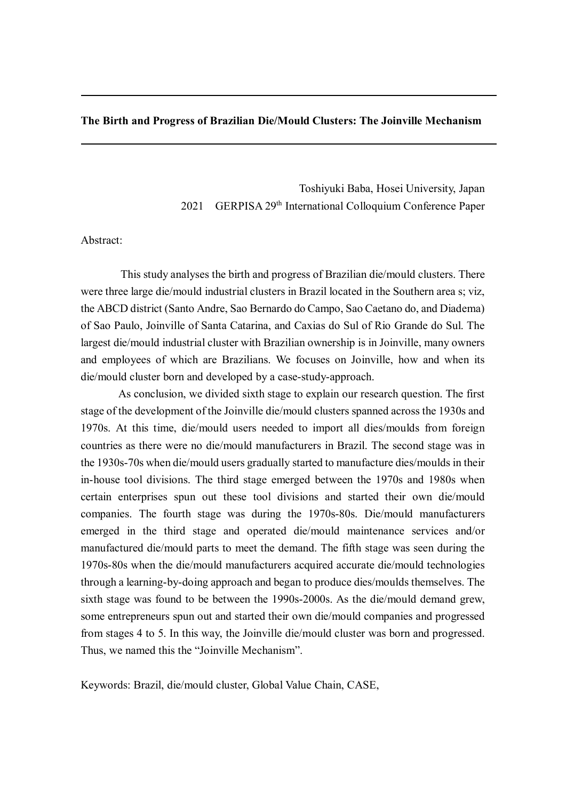# **The Birth and Progress of Brazilian Die/Mould Clusters: The Joinville Mechanism**

Toshiyuki Baba, Hosei University, Japan 2021 GERPISA 29<sup>th</sup> International Colloquium Conference Paper

## Abstract:

This study analyses the birth and progress of Brazilian die/mould clusters. There were three large die/mould industrial clusters in Brazil located in the Southern area s; viz, the ABCD district (Santo Andre, Sao Bernardo do Campo, Sao Caetano do, and Diadema) of Sao Paulo, Joinville of Santa Catarina, and Caxias do Sul of Rio Grande do Sul. The largest die/mould industrial cluster with Brazilian ownership is in Joinville, many owners and employees of which are Brazilians. We focuses on Joinville, how and when its die/mould cluster born and developed by a case-study-approach.

As conclusion, we divided sixth stage to explain our research question. The first stage of the development of the Joinville die/mould clusters spanned across the 1930s and 1970s. At this time, die/mould users needed to import all dies/moulds from foreign countries as there were no die/mould manufacturers in Brazil. The second stage was in the 1930s-70s when die/mould users gradually started to manufacture dies/moulds in their in-house tool divisions. The third stage emerged between the 1970s and 1980s when certain enterprises spun out these tool divisions and started their own die/mould companies. The fourth stage was during the 1970s-80s. Die/mould manufacturers emerged in the third stage and operated die/mould maintenance services and/or manufactured die/mould parts to meet the demand. The fifth stage was seen during the 1970s-80s when the die/mould manufacturers acquired accurate die/mould technologies through a learning-by-doing approach and began to produce dies/moulds themselves. The sixth stage was found to be between the 1990s-2000s. As the die/mould demand grew, some entrepreneurs spun out and started their own die/mould companies and progressed from stages 4 to 5. In this way, the Joinville die/mould cluster was born and progressed. Thus, we named this the "Joinville Mechanism".

Keywords: Brazil, die/mould cluster, Global Value Chain, CASE,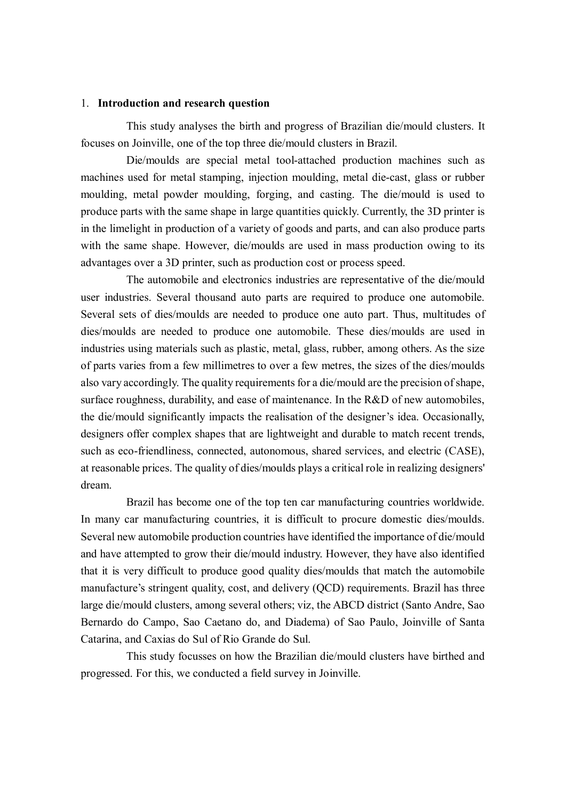#### 1. **Introduction and research question**

This study analyses the birth and progress of Brazilian die/mould clusters. It focuses on Joinville, one of the top three die/mould clusters in Brazil.

Die/moulds are special metal tool-attached production machines such as machines used for metal stamping, injection moulding, metal die-cast, glass or rubber moulding, metal powder moulding, forging, and casting. The die/mould is used to produce parts with the same shape in large quantities quickly. Currently, the 3D printer is in the limelight in production of a variety of goods and parts, and can also produce parts with the same shape. However, die/moulds are used in mass production owing to its advantages over a 3D printer, such as production cost or process speed.

The automobile and electronics industries are representative of the die/mould user industries. Several thousand auto parts are required to produce one automobile. Several sets of dies/moulds are needed to produce one auto part. Thus, multitudes of dies/moulds are needed to produce one automobile. These dies/moulds are used in industries using materials such as plastic, metal, glass, rubber, among others. As the size of parts varies from a few millimetres to over a few metres, the sizes of the dies/moulds also vary accordingly. The quality requirements for a die/mould are the precision of shape, surface roughness, durability, and ease of maintenance. In the R&D of new automobiles, the die/mould significantly impacts the realisation of the designer's idea. Occasionally, designers offer complex shapes that are lightweight and durable to match recent trends, such as eco-friendliness, connected, autonomous, shared services, and electric (CASE), at reasonable prices. The quality of dies/moulds plays a critical role in realizing designers' dream.

Brazil has become one of the top ten car manufacturing countries worldwide. In many car manufacturing countries, it is difficult to procure domestic dies/moulds. Several new automobile production countries have identified the importance of die/mould and have attempted to grow their die/mould industry. However, they have also identified that it is very difficult to produce good quality dies/moulds that match the automobile manufacture's stringent quality, cost, and delivery (QCD) requirements. Brazil has three large die/mould clusters, among several others; viz, the ABCD district (Santo Andre, Sao Bernardo do Campo, Sao Caetano do, and Diadema) of Sao Paulo, Joinville of Santa Catarina, and Caxias do Sul of Rio Grande do Sul.

This study focusses on how the Brazilian die/mould clusters have birthed and progressed. For this, we conducted a field survey in Joinville.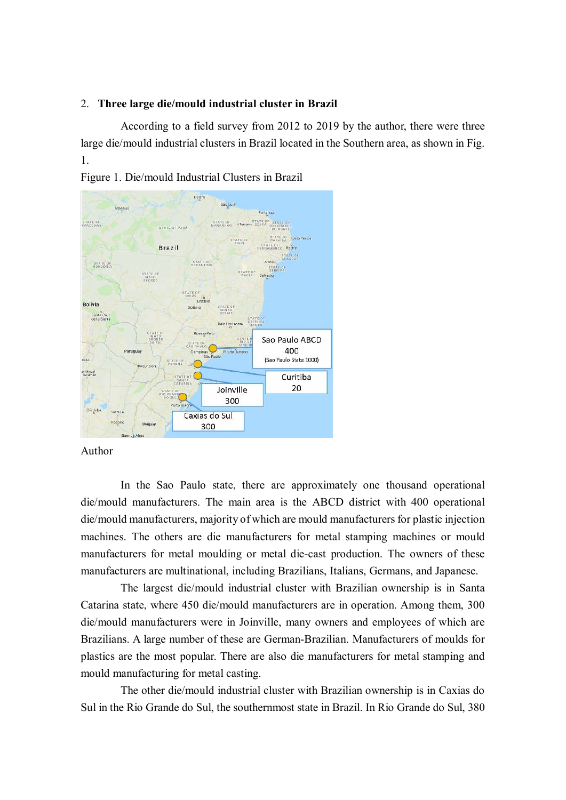### 2. **Three large die/mould industrial cluster in Brazil**

According to a field survey from 2012 to 2019 by the author, there were three large die/mould industrial clusters in Brazil located in the Southern area, as shown in Fig. 1.



Figure 1. Die/mould Industrial Clusters in Brazil

Author

In the Sao Paulo state, there are approximately one thousand operational die/mould manufacturers. The main area is the ABCD district with 400 operational die/mould manufacturers, majority of which are mould manufacturers for plastic injection machines. The others are die manufacturers for metal stamping machines or mould manufacturers for metal moulding or metal die-cast production. The owners of these manufacturers are multinational, including Brazilians, Italians, Germans, and Japanese.

The largest die/mould industrial cluster with Brazilian ownership is in Santa Catarina state, where 450 die/mould manufacturers are in operation. Among them, 300 die/mould manufacturers were in Joinville, many owners and employees of which are Brazilians. A large number of these are German-Brazilian. Manufacturers of moulds for plastics are the most popular. There are also die manufacturers for metal stamping and mould manufacturing for metal casting.

The other die/mould industrial cluster with Brazilian ownership is in Caxias do Sul in the Rio Grande do Sul, the southernmost state in Brazil. In Rio Grande do Sul, 380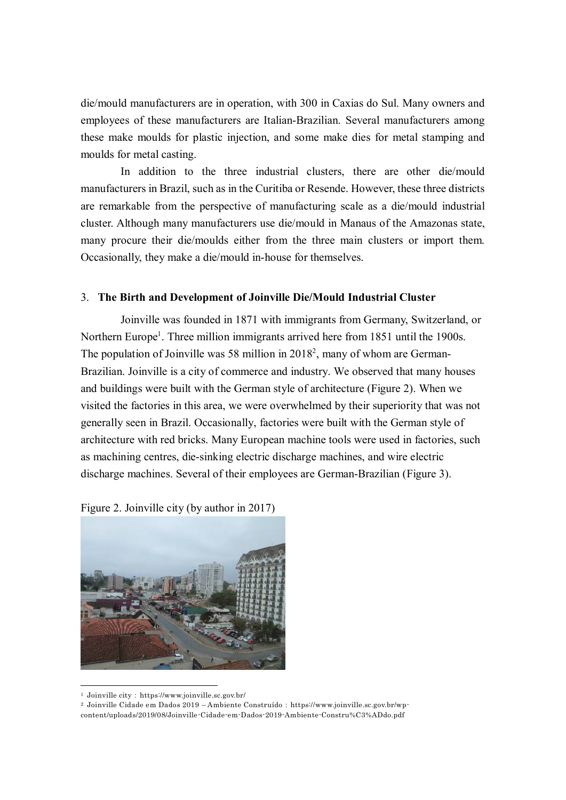die/mould manufacturers are in operation, with 300 in Caxias do Sul. Many owners and employees of these manufacturers are Italian-Brazilian. Several manufacturers among these make moulds for plastic injection, and some make dies for metal stamping and moulds for metal casting.

In addition to the three industrial clusters, there are other die/mould manufacturers in Brazil, such as in the Curitiba or Resende. However, these three districts are remarkable from the perspective of manufacturing scale as a die/mould industrial cluster. Although many manufacturers use die/mould in Manaus of the Amazonas state, many procure their die/moulds either from the three main clusters or import them. Occasionally, they make a die/mould in-house for themselves.

#### 3. **The Birth and Development of Joinville Die/Mould Industrial Cluster**

Joinville was founded in 1871 with immigrants from Germany, Switzerland, or Northern Europe<sup>1</sup>. Three million immigrants arrived here from 1851 until the 1900s. The population of Joinville was 58 million in  $2018<sup>2</sup>$ , many of whom are German-Brazilian. Joinville is a city of commerce and industry. We observed that many houses and buildings were built with the German style of architecture (Figure 2). When we visited the factories in this area, we were overwhelmed by their superiority that was not generally seen in Brazil. Occasionally, factories were built with the German style of architecture with red bricks. Many European machine tools were used in factories, such as machining centres, die-sinking electric discharge machines, and wire electric discharge machines. Several of their employees are German-Brazilian (Figure 3).



Figure 2. Joinville city (by author in 2017)

 $\overline{a}$ 

<sup>&</sup>lt;sup>1</sup> Joinville city: https://www.joinville.sc.gov.br/

<sup>&</sup>lt;sup>2</sup> Joinville Cidade em Dados 2019 – Ambiente Construído: https://www.joinville.sc.gov.br/wpcontent/uploads/2019/08/Joinville-Cidade-em-Dados-2019-Ambiente-Constru%C3%ADdo.pdf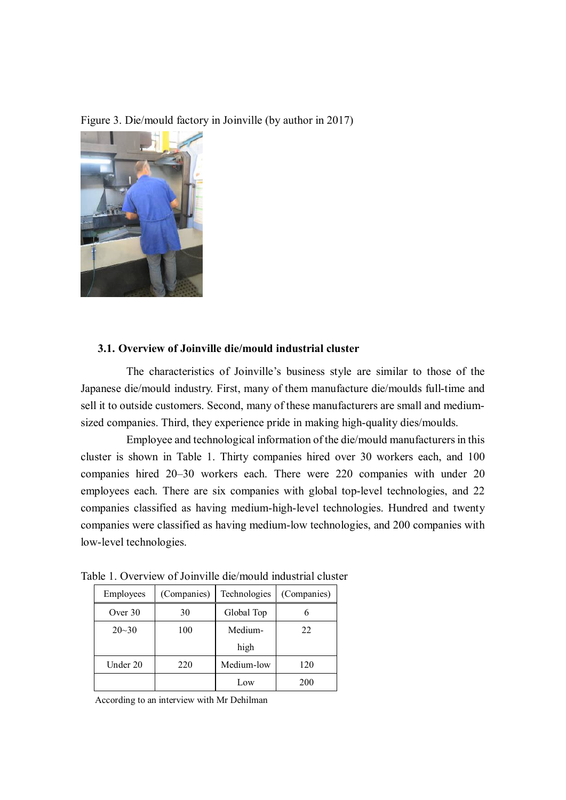Figure 3. Die/mould factory in Joinville (by author in 2017)



# **3.1. Overview of Joinville die/mould industrial cluster**

The characteristics of Joinville's business style are similar to those of the Japanese die/mould industry. First, many of them manufacture die/moulds full-time and sell it to outside customers. Second, many of these manufacturers are small and mediumsized companies. Third, they experience pride in making high-quality dies/moulds.

Employee and technological information of the die/mould manufacturers in this cluster is shown in Table 1. Thirty companies hired over 30 workers each, and 100 companies hired 20–30 workers each. There were 220 companies with under 20 employees each. There are six companies with global top-level technologies, and 22 companies classified as having medium-high-level technologies. Hundred and twenty companies were classified as having medium-low technologies, and 200 companies with low-level technologies.

| Employees | (Companies) | Technologies | (Companies) |
|-----------|-------------|--------------|-------------|
| Over 30   | 30          | Global Top   |             |
| $20 - 30$ | 100         | Medium-      | 22          |
|           |             | high         |             |
| Under 20  | 220         | Medium-low   | 120         |
|           |             | Low          | 200         |

Table 1. Overview of Joinville die/mould industrial cluster

According to an interview with Mr Dehilman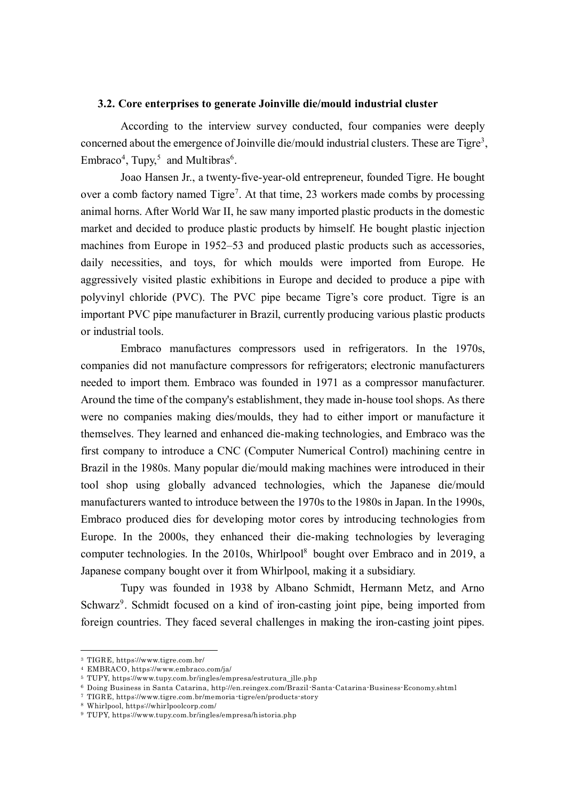#### **3.2. Core enterprises to generate Joinville die/mould industrial cluster**

According to the interview survey conducted, four companies were deeply concerned about the emergence of Joinville die/mould industrial clusters. These are Tigre<sup>3</sup>, Embraco<sup>4</sup>, Tupy,<sup>5</sup> and Multibras<sup>6</sup>.

Joao Hansen Jr., a twenty-five-year-old entrepreneur, founded Tigre. He bought over a comb factory named Tigre<sup>7</sup>. At that time, 23 workers made combs by processing animal horns. After World War II, he saw many imported plastic products in the domestic market and decided to produce plastic products by himself. He bought plastic injection machines from Europe in 1952–53 and produced plastic products such as accessories, daily necessities, and toys, for which moulds were imported from Europe. He aggressively visited plastic exhibitions in Europe and decided to produce a pipe with polyvinyl chloride (PVC). The PVC pipe became Tigre's core product. Tigre is an important PVC pipe manufacturer in Brazil, currently producing various plastic products or industrial tools.

Embraco manufactures compressors used in refrigerators. In the 1970s, companies did not manufacture compressors for refrigerators; electronic manufacturers needed to import them. Embraco was founded in 1971 as a compressor manufacturer. Around the time of the company's establishment, they made in-house tool shops. As there were no companies making dies/moulds, they had to either import or manufacture it themselves. They learned and enhanced die-making technologies, and Embraco was the first company to introduce a CNC (Computer Numerical Control) machining centre in Brazil in the 1980s. Many popular die/mould making machines were introduced in their tool shop using globally advanced technologies, which the Japanese die/mould manufacturers wanted to introduce between the 1970s to the 1980s in Japan. In the 1990s, Embraco produced dies for developing motor cores by introducing technologies from Europe. In the 2000s, they enhanced their die-making technologies by leveraging computer technologies. In the 2010s, Whirlpool<sup>8</sup> bought over Embraco and in 2019, a Japanese company bought over it from Whirlpool, making it a subsidiary.

Tupy was founded in 1938 by Albano Schmidt, Hermann Metz, and Arno Schwarz<sup>9</sup>. Schmidt focused on a kind of iron-casting joint pipe, being imported from foreign countries. They faced several challenges in making the iron-casting joint pipes.

 $\overline{a}$ 

<sup>3</sup> TIGRE, https://www.tigre.com.br/

<sup>4</sup> EMBRACO, https://www.embraco.com/ja/

<sup>5</sup> TUPY, https://www.tupy.com.br/ingles/empresa/estrutura\_jlle.php

<sup>6</sup> Doing Business in Santa Catarina, http://en.reingex.com/Brazil-Santa-Catarina-Business-Economy.shtml

<sup>7</sup> TIGRE, https://www.tigre.com.br/memoria-tigre/en/products-story

<sup>8</sup> Whirlpool, https://whirlpoolcorp.com/

<sup>9</sup> TUPY, https://www.tupy.com.br/ingles/empresa/historia.php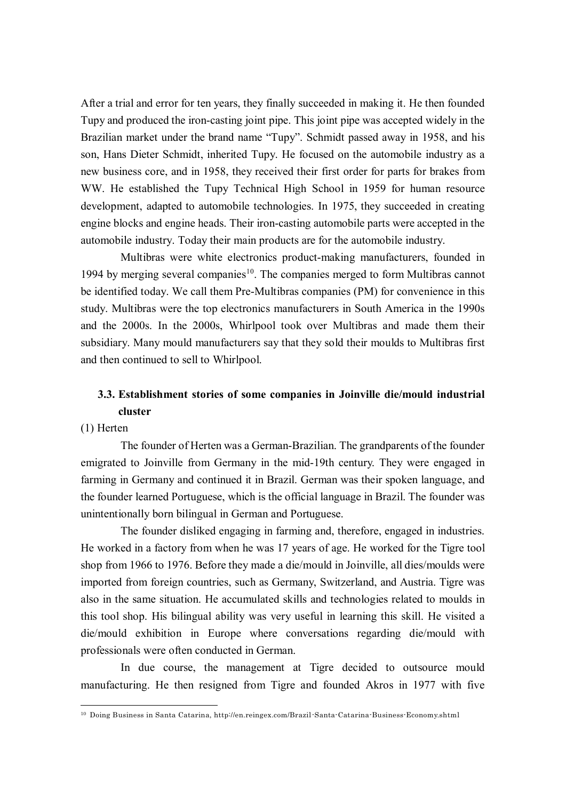After a trial and error for ten years, they finally succeeded in making it. He then founded Tupy and produced the iron-casting joint pipe. This joint pipe was accepted widely in the Brazilian market under the brand name "Tupy". Schmidt passed away in 1958, and his son, Hans Dieter Schmidt, inherited Tupy. He focused on the automobile industry as a new business core, and in 1958, they received their first order for parts for brakes from WW. He established the Tupy Technical High School in 1959 for human resource development, adapted to automobile technologies. In 1975, they succeeded in creating engine blocks and engine heads. Their iron-casting automobile parts were accepted in the automobile industry. Today their main products are for the automobile industry.

Multibras were white electronics product-making manufacturers, founded in 1994 by merging several companies<sup>10</sup>. The companies merged to form Multibras cannot be identified today. We call them Pre-Multibras companies (PM) for convenience in this study. Multibras were the top electronics manufacturers in South America in the 1990s and the 2000s. In the 2000s, Whirlpool took over Multibras and made them their subsidiary. Many mould manufacturers say that they sold their moulds to Multibras first and then continued to sell to Whirlpool.

# **3.3. Establishment stories of some companies in Joinville die/mould industrial cluster**

# (1) Herten

 $\overline{a}$ 

The founder of Herten was a German-Brazilian. The grandparents of the founder emigrated to Joinville from Germany in the mid-19th century. They were engaged in farming in Germany and continued it in Brazil. German was their spoken language, and the founder learned Portuguese, which is the official language in Brazil. The founder was unintentionally born bilingual in German and Portuguese.

The founder disliked engaging in farming and, therefore, engaged in industries. He worked in a factory from when he was 17 years of age. He worked for the Tigre tool shop from 1966 to 1976. Before they made a die/mould in Joinville, all dies/moulds were imported from foreign countries, such as Germany, Switzerland, and Austria. Tigre was also in the same situation. He accumulated skills and technologies related to moulds in this tool shop. His bilingual ability was very useful in learning this skill. He visited a die/mould exhibition in Europe where conversations regarding die/mould with professionals were often conducted in German.

In due course, the management at Tigre decided to outsource mould manufacturing. He then resigned from Tigre and founded Akros in 1977 with five

<sup>10</sup> Doing Business in Santa Catarina, http://en.reingex.com/Brazil-Santa-Catarina-Business-Economy.shtml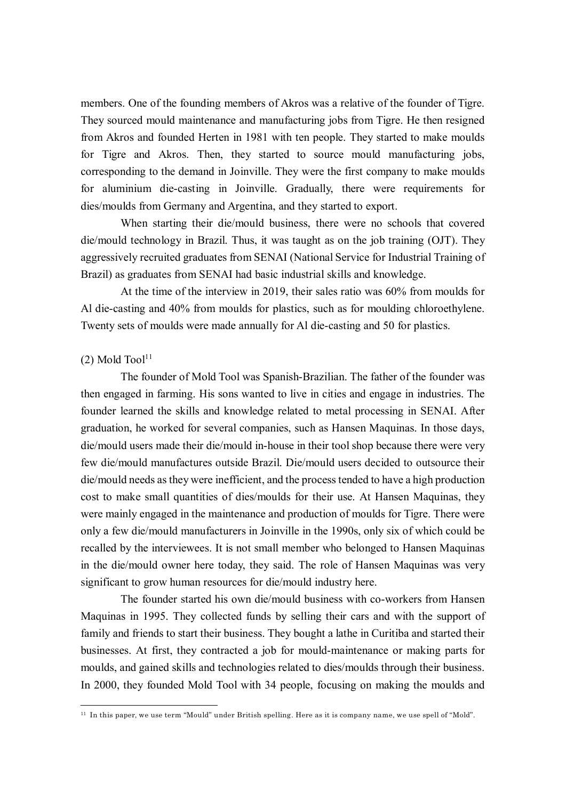members. One of the founding members of Akros was a relative of the founder of Tigre. They sourced mould maintenance and manufacturing jobs from Tigre. He then resigned from Akros and founded Herten in 1981 with ten people. They started to make moulds for Tigre and Akros. Then, they started to source mould manufacturing jobs, corresponding to the demand in Joinville. They were the first company to make moulds for aluminium die-casting in Joinville. Gradually, there were requirements for dies/moulds from Germany and Argentina, and they started to export.

When starting their die/mould business, there were no schools that covered die/mould technology in Brazil. Thus, it was taught as on the job training (OJT). They aggressively recruited graduates from SENAI (National Service for Industrial Training of Brazil) as graduates from SENAI had basic industrial skills and knowledge.

At the time of the interview in 2019, their sales ratio was 60% from moulds for Al die-casting and 40% from moulds for plastics, such as for moulding chloroethylene. Twenty sets of moulds were made annually for Al die-casting and 50 for plastics.

# $(2)$  Mold Tool<sup>11</sup>

 $\overline{a}$ 

The founder of Mold Tool was Spanish-Brazilian. The father of the founder was then engaged in farming. His sons wanted to live in cities and engage in industries. The founder learned the skills and knowledge related to metal processing in SENAI. After graduation, he worked for several companies, such as Hansen Maquinas. In those days, die/mould users made their die/mould in-house in their tool shop because there were very few die/mould manufactures outside Brazil. Die/mould users decided to outsource their die/mould needs as they were inefficient, and the process tended to have a high production cost to make small quantities of dies/moulds for their use. At Hansen Maquinas, they were mainly engaged in the maintenance and production of moulds for Tigre. There were only a few die/mould manufacturers in Joinville in the 1990s, only six of which could be recalled by the interviewees. It is not small member who belonged to Hansen Maquinas in the die/mould owner here today, they said. The role of Hansen Maquinas was very significant to grow human resources for die/mould industry here.

The founder started his own die/mould business with co-workers from Hansen Maquinas in 1995. They collected funds by selling their cars and with the support of family and friends to start their business. They bought a lathe in Curitiba and started their businesses. At first, they contracted a job for mould-maintenance or making parts for moulds, and gained skills and technologies related to dies/moulds through their business. In 2000, they founded Mold Tool with 34 people, focusing on making the moulds and

<sup>11</sup> In this paper, we use term "Mould" under British spelling. Here as it is company name, we use spell of "Mold".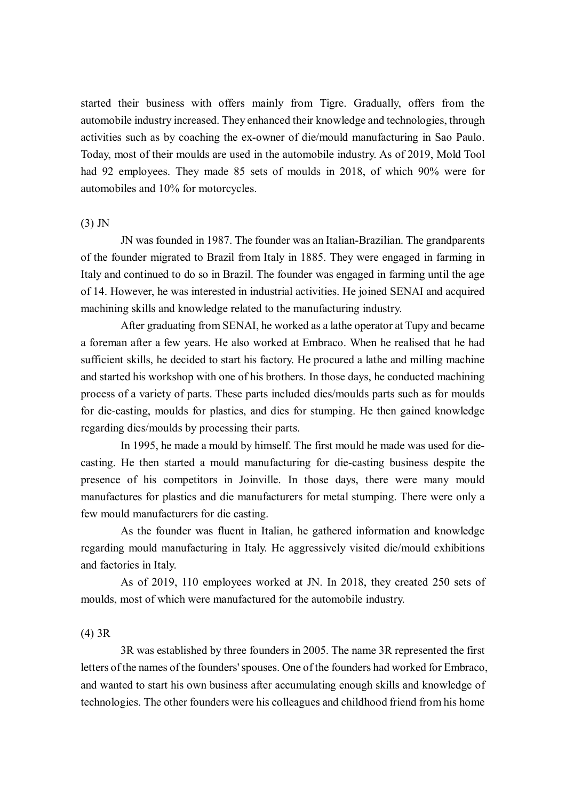started their business with offers mainly from Tigre. Gradually, offers from the automobile industry increased. They enhanced their knowledge and technologies, through activities such as by coaching the ex-owner of die/mould manufacturing in Sao Paulo. Today, most of their moulds are used in the automobile industry. As of 2019, Mold Tool had 92 employees. They made 85 sets of moulds in 2018, of which 90% were for automobiles and 10% for motorcycles.

### (3) JN

JN was founded in 1987. The founder was an Italian-Brazilian. The grandparents of the founder migrated to Brazil from Italy in 1885. They were engaged in farming in Italy and continued to do so in Brazil. The founder was engaged in farming until the age of 14. However, he was interested in industrial activities. He joined SENAI and acquired machining skills and knowledge related to the manufacturing industry.

After graduating from SENAI, he worked as a lathe operator at Tupy and became a foreman after a few years. He also worked at Embraco. When he realised that he had sufficient skills, he decided to start his factory. He procured a lathe and milling machine and started his workshop with one of his brothers. In those days, he conducted machining process of a variety of parts. These parts included dies/moulds parts such as for moulds for die-casting, moulds for plastics, and dies for stumping. He then gained knowledge regarding dies/moulds by processing their parts.

In 1995, he made a mould by himself. The first mould he made was used for diecasting. He then started a mould manufacturing for die-casting business despite the presence of his competitors in Joinville. In those days, there were many mould manufactures for plastics and die manufacturers for metal stumping. There were only a few mould manufacturers for die casting.

As the founder was fluent in Italian, he gathered information and knowledge regarding mould manufacturing in Italy. He aggressively visited die/mould exhibitions and factories in Italy.

As of 2019, 110 employees worked at JN. In 2018, they created 250 sets of moulds, most of which were manufactured for the automobile industry.

### (4) 3R

3R was established by three founders in 2005. The name 3R represented the first letters of the names of the founders' spouses. One of the founders had worked for Embraco, and wanted to start his own business after accumulating enough skills and knowledge of technologies. The other founders were his colleagues and childhood friend from his home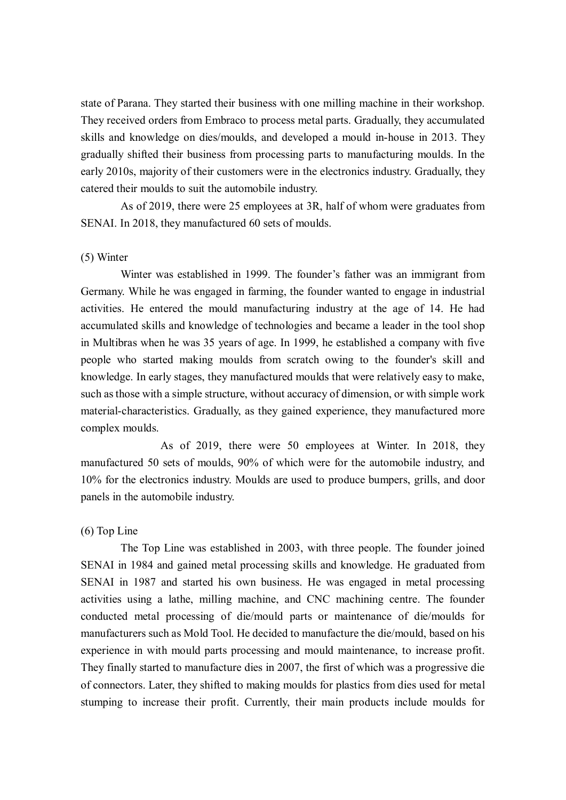state of Parana. They started their business with one milling machine in their workshop. They received orders from Embraco to process metal parts. Gradually, they accumulated skills and knowledge on dies/moulds, and developed a mould in-house in 2013. They gradually shifted their business from processing parts to manufacturing moulds. In the early 2010s, majority of their customers were in the electronics industry. Gradually, they catered their moulds to suit the automobile industry.

As of 2019, there were 25 employees at 3R, half of whom were graduates from SENAI. In 2018, they manufactured 60 sets of moulds.

#### (5) Winter

Winter was established in 1999. The founder's father was an immigrant from Germany. While he was engaged in farming, the founder wanted to engage in industrial activities. He entered the mould manufacturing industry at the age of 14. He had accumulated skills and knowledge of technologies and became a leader in the tool shop in Multibras when he was 35 years of age. In 1999, he established a company with five people who started making moulds from scratch owing to the founder's skill and knowledge. In early stages, they manufactured moulds that were relatively easy to make, such as those with a simple structure, without accuracy of dimension, or with simple work material-characteristics. Gradually, as they gained experience, they manufactured more complex moulds.

 As of 2019, there were 50 employees at Winter. In 2018, they manufactured 50 sets of moulds, 90% of which were for the automobile industry, and 10% for the electronics industry. Moulds are used to produce bumpers, grills, and door panels in the automobile industry.

### (6) Top Line

The Top Line was established in 2003, with three people. The founder joined SENAI in 1984 and gained metal processing skills and knowledge. He graduated from SENAI in 1987 and started his own business. He was engaged in metal processing activities using a lathe, milling machine, and CNC machining centre. The founder conducted metal processing of die/mould parts or maintenance of die/moulds for manufacturers such as Mold Tool. He decided to manufacture the die/mould, based on his experience in with mould parts processing and mould maintenance, to increase profit. They finally started to manufacture dies in 2007, the first of which was a progressive die of connectors. Later, they shifted to making moulds for plastics from dies used for metal stumping to increase their profit. Currently, their main products include moulds for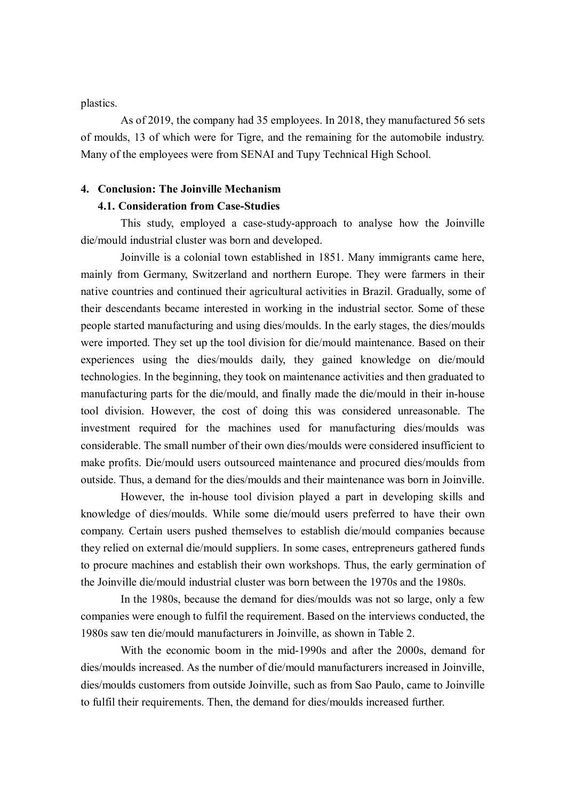plastics.

As of 2019, the company had 35 employees. In 2018, they manufactured 56 sets of moulds, 13 of which were for Tigre, and the remaining for the automobile industry. Many of the employees were from SENAI and Tupy Technical High School.

### **4. Conclusion: The Joinville Mechanism**

# **4.1. Consideration from Case-Studies**

This study, employed a case-study-approach to analyse how the Joinville die/mould industrial cluster was born and developed.

Joinville is a colonial town established in 1851. Many immigrants came here, mainly from Germany, Switzerland and northern Europe. They were farmers in their native countries and continued their agricultural activities in Brazil. Gradually, some of their descendants became interested in working in the industrial sector. Some of these people started manufacturing and using dies/moulds. In the early stages, the dies/moulds were imported. They set up the tool division for die/mould maintenance. Based on their experiences using the dies/moulds daily, they gained knowledge on die/mould technologies. In the beginning, they took on maintenance activities and then graduated to manufacturing parts for the die/mould, and finally made the die/mould in their in-house tool division. However, the cost of doing this was considered unreasonable. The investment required for the machines used for manufacturing dies/moulds was considerable. The small number of their own dies/moulds were considered insufficient to make profits. Die/mould users outsourced maintenance and procured dies/moulds from outside. Thus, a demand for the dies/moulds and their maintenance was born in Joinville.

However, the in-house tool division played a part in developing skills and knowledge of dies/moulds. While some die/mould users preferred to have their own company. Certain users pushed themselves to establish die/mould companies because they relied on external die/mould suppliers. In some cases, entrepreneurs gathered funds to procure machines and establish their own workshops. Thus, the early germination of the Joinville die/mould industrial cluster was born between the 1970s and the 1980s.

In the 1980s, because the demand for dies/moulds was not so large, only a few companies were enough to fulfil the requirement. Based on the interviews conducted, the 1980s saw ten die/mould manufacturers in Joinville, as shown in Table 2.

With the economic boom in the mid-1990s and after the 2000s, demand for dies/moulds increased. As the number of die/mould manufacturers increased in Joinville, dies/moulds customers from outside Joinville, such as from Sao Paulo, came to Joinville to fulfil their requirements. Then, the demand for dies/moulds increased further.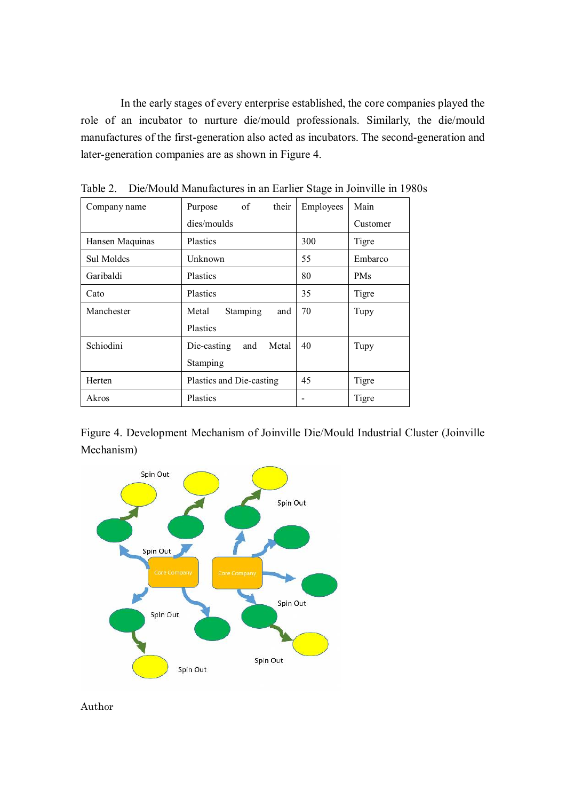In the early stages of every enterprise established, the core companies played the role of an incubator to nurture die/mould professionals. Similarly, the die/mould manufactures of the first-generation also acted as incubators. The second-generation and later-generation companies are as shown in Figure 4.

| Company name    | of<br>their<br>Purpose      | Employees | Main       |
|-----------------|-----------------------------|-----------|------------|
|                 | dies/moulds                 |           | Customer   |
| Hansen Maquinas | Plastics                    | 300       | Tigre      |
| Sul Moldes      | Unknown                     | 55        | Embarco    |
| Garibaldi       | Plastics                    | 80        | <b>PMs</b> |
| Cato            | Plastics                    | 35        | Tigre      |
| Manchester      | Stamping<br>Metal<br>and    | 70        | Tupy       |
|                 | Plastics                    |           |            |
| Schiodini       | Metal<br>Die-casting<br>and | 40        | Tupy       |
|                 | Stamping                    |           |            |
| Herten          | Plastics and Die-casting    | 45        | Tigre      |
| Akros           | Plastics                    |           | Tigre      |

Table 2. Die/Mould Manufactures in an Earlier Stage in Joinville in 1980s

Figure 4. Development Mechanism of Joinville Die/Mould Industrial Cluster (Joinville Mechanism)